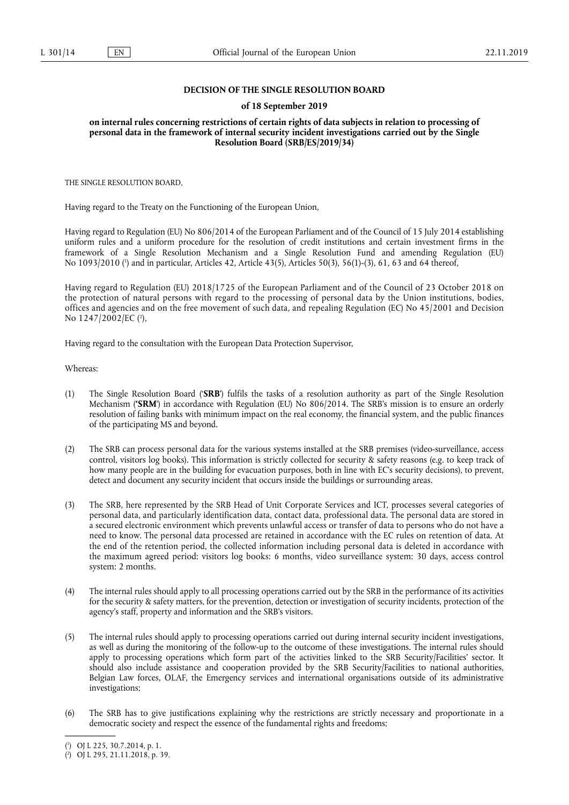# **DECISION OF THE SINGLE RESOLUTION BOARD**

## **of 18 September 2019**

**on internal rules concerning restrictions of certain rights of data subjects in relation to processing of personal data in the framework of internal security incident investigations carried out by the Single Resolution Board (SRB/ES/2019/34)** 

THE SINGLE RESOLUTION BOARD,

Having regard to the Treaty on the Functioning of the European Union,

Having regard to Regulation (EU) No 806/2014 of the European Parliament and of the Council of 15 July 2014 establishing uniform rules and a uniform procedure for the resolution of credit institutions and certain investment firms in the framework of a Single Resolution Mechanism and a Single Resolution Fund and amending Regulation (EU) No 1093/2010 ( 1 ) and in particular, Articles 42, Article 43(5), Articles 50(3), 56(1)-(3), 61, 63 and 64 thereof,

Having regard to Regulation (EU) 2018/1725 of the European Parliament and of the Council of 23 October 2018 on the protection of natural persons with regard to the processing of personal data by the Union institutions, bodies, offices and agencies and on the free movement of such data, and repealing Regulation (EC) No 45/2001 and Decision No 1247/2002/EC (?),

Having regard to the consultation with the European Data Protection Supervisor,

Whereas:

- (1) The Single Resolution Board ('**SRB**') fulfils the tasks of a resolution authority as part of the Single Resolution Mechanism (**'SRM**') in accordance with Regulation (EU) No 806/2014. The SRB's mission is to ensure an orderly resolution of failing banks with minimum impact on the real economy, the financial system, and the public finances of the participating MS and beyond.
- (2) The SRB can process personal data for the various systems installed at the SRB premises (video-surveillance, access control, visitors log books). This information is strictly collected for security & safety reasons (e.g. to keep track of how many people are in the building for evacuation purposes, both in line with EC's security decisions), to prevent, detect and document any security incident that occurs inside the buildings or surrounding areas.
- (3) The SRB, here represented by the SRB Head of Unit Corporate Services and ICT, processes several categories of personal data, and particularly identification data, contact data, professional data. The personal data are stored in a secured electronic environment which prevents unlawful access or transfer of data to persons who do not have a need to know. The personal data processed are retained in accordance with the EC rules on retention of data. At the end of the retention period, the collected information including personal data is deleted in accordance with the maximum agreed period: visitors log books: 6 months, video surveillance system: 30 days, access control system: 2 months.
- (4) The internal rules should apply to all processing operations carried out by the SRB in the performance of its activities for the security & safety matters, for the prevention, detection or investigation of security incidents, protection of the agency's staff, property and information and the SRB's visitors.
- (5) The internal rules should apply to processing operations carried out during internal security incident investigations, as well as during the monitoring of the follow-up to the outcome of these investigations. The internal rules should apply to processing operations which form part of the activities linked to the SRB Security/Facilities' sector. It should also include assistance and cooperation provided by the SRB Security/Facilities to national authorities, Belgian Law forces, OLAF, the Emergency services and international organisations outside of its administrative investigations;
- (6) The SRB has to give justifications explaining why the restrictions are strictly necessary and proportionate in a democratic society and respect the essence of the fundamental rights and freedoms;

<sup>(</sup> 1 ) OJ L 225, 30.7.2014, p. 1.

<sup>(</sup> 2 ) OJ L 295, 21.11.2018, p. 39.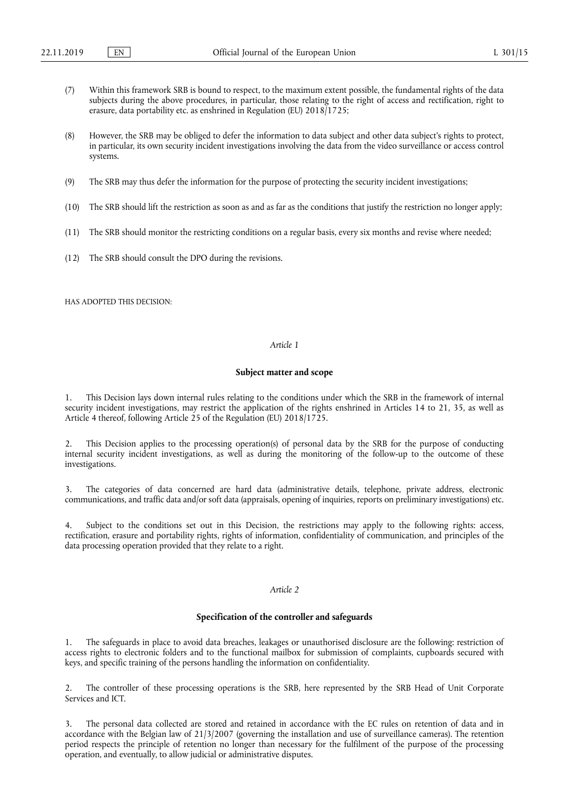- (7) Within this framework SRB is bound to respect, to the maximum extent possible, the fundamental rights of the data subjects during the above procedures, in particular, those relating to the right of access and rectification, right to erasure, data portability etc. as enshrined in Regulation (EU) 2018/1725;
- (8) However, the SRB may be obliged to defer the information to data subject and other data subject's rights to protect, in particular, its own security incident investigations involving the data from the video surveillance or access control systems.
- (9) The SRB may thus defer the information for the purpose of protecting the security incident investigations;
- (10) The SRB should lift the restriction as soon as and as far as the conditions that justify the restriction no longer apply;
- (11) The SRB should monitor the restricting conditions on a regular basis, every six months and revise where needed;
- (12) The SRB should consult the DPO during the revisions.

HAS ADOPTED THIS DECISION:

## *Article 1*

## **Subject matter and scope**

1. This Decision lays down internal rules relating to the conditions under which the SRB in the framework of internal security incident investigations, may restrict the application of the rights enshrined in Articles 14 to 21, 35, as well as Article 4 thereof, following Article 25 of the Regulation (EU) 2018/1725.

This Decision applies to the processing operation(s) of personal data by the SRB for the purpose of conducting internal security incident investigations, as well as during the monitoring of the follow-up to the outcome of these investigations.

3. The categories of data concerned are hard data (administrative details, telephone, private address, electronic communications, and traffic data and/or soft data (appraisals, opening of inquiries, reports on preliminary investigations) etc.

4. Subject to the conditions set out in this Decision, the restrictions may apply to the following rights: access, rectification, erasure and portability rights, rights of information, confidentiality of communication, and principles of the data processing operation provided that they relate to a right.

## *Article 2*

#### **Specification of the controller and safeguards**

The safeguards in place to avoid data breaches, leakages or unauthorised disclosure are the following: restriction of access rights to electronic folders and to the functional mailbox for submission of complaints, cupboards secured with keys, and specific training of the persons handling the information on confidentiality.

2. The controller of these processing operations is the SRB, here represented by the SRB Head of Unit Corporate Services and ICT.

The personal data collected are stored and retained in accordance with the EC rules on retention of data and in accordance with the Belgian law of 21/3/2007 (governing the installation and use of surveillance cameras). The retention period respects the principle of retention no longer than necessary for the fulfilment of the purpose of the processing operation, and eventually, to allow judicial or administrative disputes.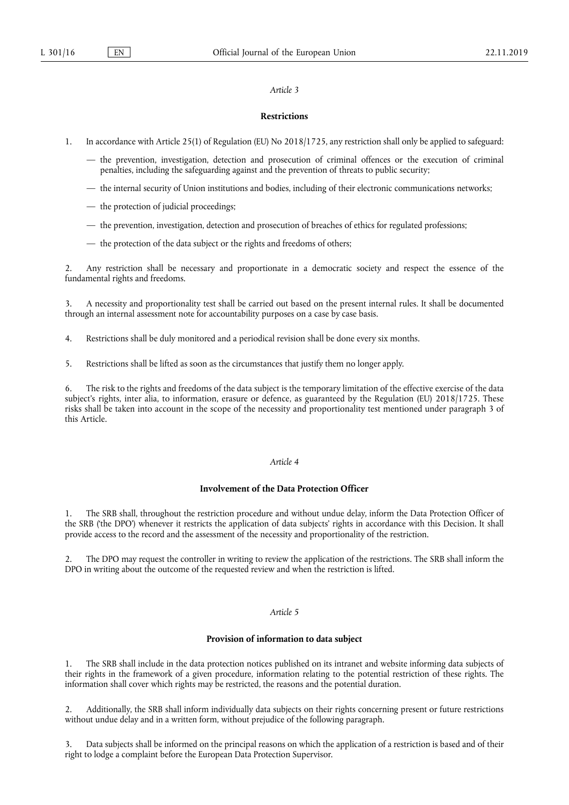## *Article 3*

## **Restrictions**

- 1. In accordance with Article 25(1) of Regulation (EU) No 2018/1725, any restriction shall only be applied to safeguard:
	- the prevention, investigation, detection and prosecution of criminal offences or the execution of criminal penalties, including the safeguarding against and the prevention of threats to public security;
	- the internal security of Union institutions and bodies, including of their electronic communications networks;
	- the protection of judicial proceedings;
	- the prevention, investigation, detection and prosecution of breaches of ethics for regulated professions;
	- the protection of the data subject or the rights and freedoms of others;

2. Any restriction shall be necessary and proportionate in a democratic society and respect the essence of the fundamental rights and freedoms.

3. A necessity and proportionality test shall be carried out based on the present internal rules. It shall be documented through an internal assessment note for accountability purposes on a case by case basis.

- 4. Restrictions shall be duly monitored and a periodical revision shall be done every six months.
- 5. Restrictions shall be lifted as soon as the circumstances that justify them no longer apply.

6. The risk to the rights and freedoms of the data subject is the temporary limitation of the effective exercise of the data subject's rights, inter alia, to information, erasure or defence, as guaranteed by the Regulation (EU) 2018/1725. These risks shall be taken into account in the scope of the necessity and proportionality test mentioned under paragraph 3 of this Article.

## *Article 4*

## **Involvement of the Data Protection Officer**

1. The SRB shall, throughout the restriction procedure and without undue delay, inform the Data Protection Officer of the SRB ('the DPO') whenever it restricts the application of data subjects' rights in accordance with this Decision. It shall provide access to the record and the assessment of the necessity and proportionality of the restriction.

The DPO may request the controller in writing to review the application of the restrictions. The SRB shall inform the DPO in writing about the outcome of the requested review and when the restriction is lifted.

# *Article 5*

## **Provision of information to data subject**

The SRB shall include in the data protection notices published on its intranet and website informing data subjects of their rights in the framework of a given procedure, information relating to the potential restriction of these rights. The information shall cover which rights may be restricted, the reasons and the potential duration.

2. Additionally, the SRB shall inform individually data subjects on their rights concerning present or future restrictions without undue delay and in a written form, without prejudice of the following paragraph.

Data subjects shall be informed on the principal reasons on which the application of a restriction is based and of their right to lodge a complaint before the European Data Protection Supervisor.